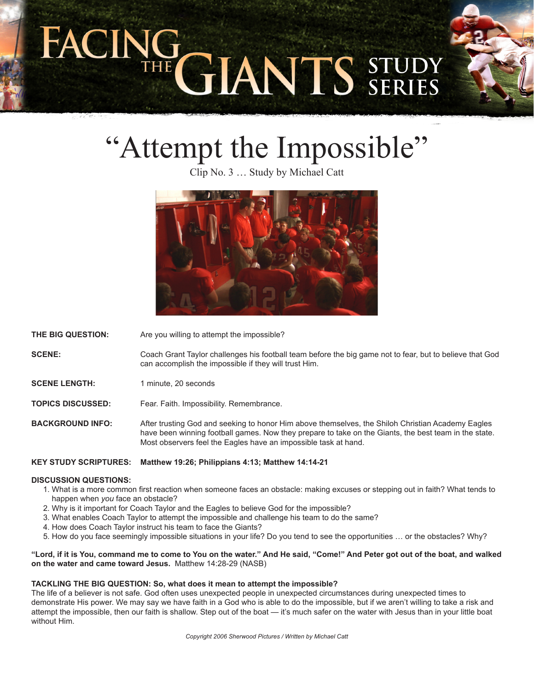# TE GIANTS STUDY



Clip No. 3 … Study by Michael Catt



**THE BIG QUESTION:** Are you willing to attempt the impossible?

**SCENE:** Coach Grant Taylor challenges his football team before the big game not to fear, but to believe that God can accomplish the impossible if they will trust Him.

**SCENE LENGTH:** 1 minute, 20 seconds

**TOPICS DISCUSSED:** Fear. Faith. Impossibility. Remembrance.

**BACKGROUND INFO:** After trusting God and seeking to honor Him above themselves, the Shiloh Christian Academy Eagles have been winning football games. Now they prepare to take on the Giants, the best team in the state. Most observers feel the Eagles have an impossible task at hand.

**KEY STUDY SCRIPTURES: Matthew 19:26; Philippians 4:13; Matthew 14:14-21**

## **DISCUSSION QUESTIONS:**

- 1. What is a more common first reaction when someone faces an obstacle: making excuses or stepping out in faith? What tends to happen when *you* face an obstacle?
- 2. Why is it important for Coach Taylor and the Eagles to believe God for the impossible?
- 3. What enables Coach Taylor to attempt the impossible and challenge his team to do the same?
- 4. How does Coach Taylor instruct his team to face the Giants?
- 5. How do you face seemingly impossible situations in your life? Do you tend to see the opportunities … or the obstacles? Why?

**"Lord, if it is You, command me to come to You on the water." And He said, "Come!" And Peter got out of the boat, and walked on the water and came toward Jesus.** Matthew 14:28-29 (NASB)

## **TACKLING THE BIG QUESTION: So, what does it mean to attempt the impossible?**

The life of a believer is not safe. God often uses unexpected people in unexpected circumstances during unexpected times to demonstrate His power. We may say we have faith in a God who is able to do the impossible, but if we aren't willing to take a risk and attempt the impossible, then our faith is shallow. Step out of the boat — it's much safer on the water with Jesus than in your little boat without Him.